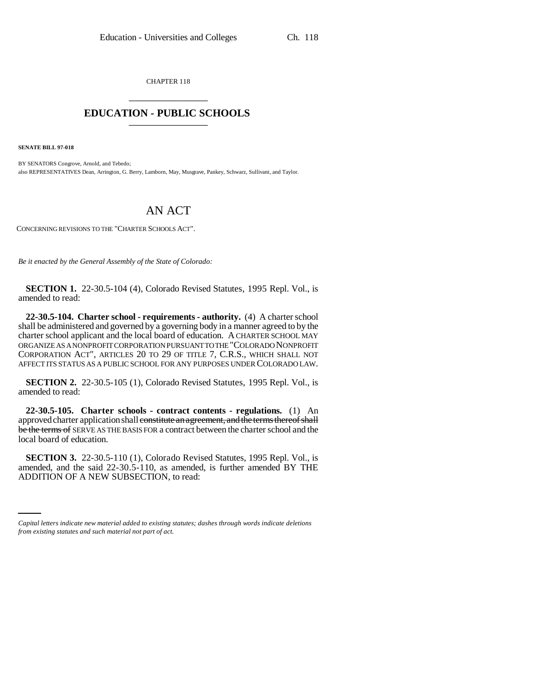CHAPTER 118 \_\_\_\_\_\_\_\_\_\_\_\_\_\_\_

## **EDUCATION - PUBLIC SCHOOLS** \_\_\_\_\_\_\_\_\_\_\_\_\_\_\_

**SENATE BILL 97-018**

BY SENATORS Congrove, Arnold, and Tebedo; also REPRESENTATIVES Dean, Arrington, G. Berry, Lamborn, May, Musgrave, Pankey, Schwarz, Sullivant, and Taylor.

## AN ACT

CONCERNING REVISIONS TO THE "CHARTER SCHOOLS ACT".

*Be it enacted by the General Assembly of the State of Colorado:*

**SECTION 1.** 22-30.5-104 (4), Colorado Revised Statutes, 1995 Repl. Vol., is amended to read:

**22-30.5-104. Charter school - requirements - authority.** (4) A charter school shall be administered and governed by a governing body in a manner agreed to by the charter school applicant and the local board of education. A CHARTER SCHOOL MAY ORGANIZE AS A NONPROFIT CORPORATION PURSUANT TO THE "COLORADO NONPROFIT CORPORATION ACT", ARTICLES 20 TO 29 OF TITLE 7, C.R.S., WHICH SHALL NOT AFFECT ITS STATUS AS A PUBLIC SCHOOL FOR ANY PURPOSES UNDER COLORADO LAW.

**SECTION 2.** 22-30.5-105 (1), Colorado Revised Statutes, 1995 Repl. Vol., is amended to read:

**22-30.5-105. Charter schools - contract contents - regulations.** (1) An approved charter application shall constitute an agreement, and the terms thereof shall be the terms of SERVE AS THE BASIS FOR a contract between the charter school and the local board of education.

amended, and the said 22-30.5-110, as amended, is further amended BY THE **SECTION 3.** 22-30.5-110 (1), Colorado Revised Statutes, 1995 Repl. Vol., is ADDITION OF A NEW SUBSECTION, to read:

*Capital letters indicate new material added to existing statutes; dashes through words indicate deletions from existing statutes and such material not part of act.*